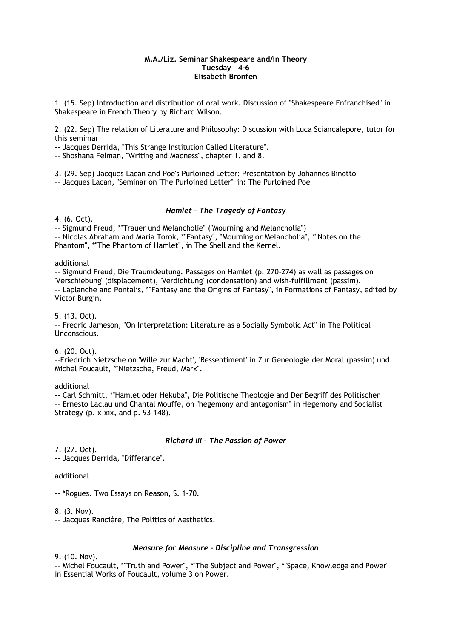### **M.A./Liz. Seminar Shakespeare and/in Theory Tuesday 4-6 Elisabeth Bronfen**

1. (15. Sep) Introduction and distribution of oral work. Discussion of "Shakespeare Enfranchised" in Shakespeare in French Theory by Richard Wilson.

2. (22. Sep) The relation of Literature and Philosophy: Discussion with Luca Sciancalepore, tutor for this semimar

-- Jacques Derrida, "This Strange Institution Called Literature".

-- Shoshana Felman, "Writing and Madness", chapter 1. and 8.

3. (29. Sep) Jacques Lacan and Poe's Purloined Letter: Presentation by Johannes Binotto

-- Jacques Lacan, "Seminar on 'The Purloined Letter'" in: The Purloined Poe

# *Hamlet – The Tragedy of Fantasy*

4. (6. Oct).

-- Sigmund Freud, \*"Trauer und Melancholie" ("Mourning and Melancholia")

-- Nicolas Abraham and Maria Torok, \*"Fantasy", "Mourning or Melancholia", \*"Notes on the Phantom", \*"The Phantom of Hamlet", in The Shell and the Kernel.

### additional

-- Sigmund Freud, Die Traumdeutung. Passages on Hamlet (p. 270-274) as well as passages on 'Verschiebung' (displacement), 'Verdichtung' (condensation) and wish-fulfillment (passim). -- Laplanche and Pontalis, \*"Fantasy and the Origins of Fantasy", in Formations of Fantasy, edited by Victor Burgin.

5. (13. Oct).

-- Fredric Jameson, "On Interpretation: Literature as a Socially Symbolic Act" in The Political Unconscious.

6. (20. Oct).

--Friedrich Nietzsche on 'Wille zur Macht', 'Ressentiment' in Zur Geneologie der Moral (passim) und Michel Foucault, \*"Nietzsche, Freud, Marx".

additional

-- Carl Schmitt, \*"Hamlet oder Hekuba", Die Politische Theologie and Der Begriff des Politischen -- Ernesto Laclau und Chantal Mouffe, on "hegemony and antagonism" in Hegemony and Socialist Strategy (p. x-xix, and p. 93-148).

# *Richard III – The Passion of Power*

7. (27. Oct).

-- Jacques Derrida, "Differance".

additional

-- \*Rogues. Two Essays on Reason, S. 1-70.

8. (3. Nov).

-- Jacques Rancière, The Politics of Aesthetics.

# *Measure for Measure – Discipline and Transgression*

9. (10. Nov).

-- Michel Foucault, \*"Truth and Power", \*"The Subject and Power", \*"Space, Knowledge and Power" in Essential Works of Foucault, volume 3 on Power.